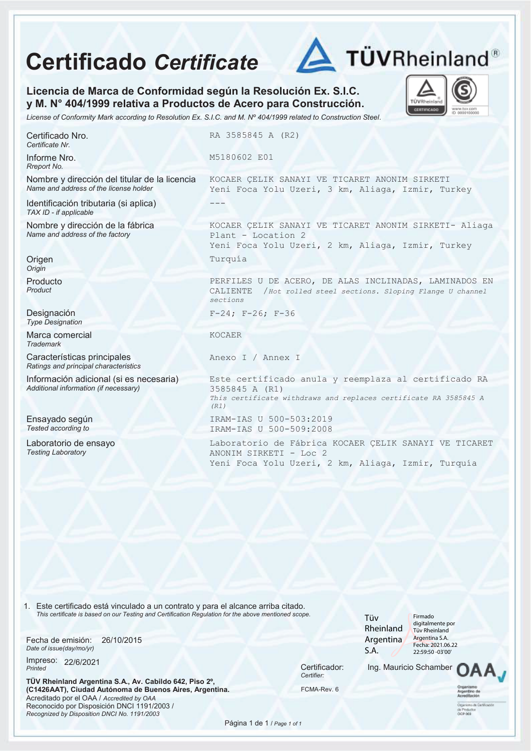## **Certificado** *Certificate*



TÜVRhei CERTIFICAL

**Licencia de Marca de Conformidad según la Resolución Ex. S.I.C. y M. N° 404/1999 relativa a Productos de Acero para Construcción.** 

*License of Conformity Mark according to Resolution Ex. S.I.C. and M. Nº 404/1999 related to Construction Steel.*

Certificado Nro. *Certificate Nr.*

Informe Nro. *Rreport No.*

Nombre y dirección del titular de la licencia *Name and address of the license holder* 

Identificación tributaria (si aplica) *TAX ID - if applicable*

Nombre y dirección de la fábrica *Name and address of the factory*

**Origen** *Origin*

Producto *Product*

Designación *Type Designation*

Marca comercial *Trademark*

Características principales *Ratings and principal characteristics*

Información adicional (si es necesaria) *Additional information (if necessary)*

Ensayado según *Tested according to*

Laboratorio de ensayo *Testing Laboratory*

RA 3585845 A (R2)

M5180602 E01

KOCAER ÇELIK SANAYI VE TICARET ANONIM SIRKETI Yeni Foca Yolu Uzeri, 3 km, Aliaga, Izmir, Turkey ---

KOCAER ÇELIK SANAYI VE TICARET ANONIM SIRKETI- Aliaga Plant - Location 2 Yeni Foca Yolu Uzeri, 2 km, Aliaga, Izmir, Turkey Turquía

PERFILES U DE ACERO, DE ALAS INCLINADAS, LAMINADOS EN CALIENTE /*Hot rolled steel sections. Sloping Flange U channel sections*

F-24; F-26; F-36

KOCAER

Anexo I / Annex I

Este certificado anula y reemplaza al certificado RA 3585845 A (R1) *This certificate withdraws and replaces certificate RA 3585845 A (R1)* IRAM-IAS U 500-503:2019 IRAM-IAS U 500-509:2008

Laboratorio de Fábrica KOCAER ÇELIK SANAYI VE TICARET ANONIM SIRKETI - Loc 2 Yeni Foca Yolu Uzeri, 2 km, Aliaga, Izmir, Turquía

1. Este certificado está vinculado a un contrato y para el alcance arriba citado. *This certificate is based on our Testing and Certification Regulation for the above mentioned scope.*

Fecha de emisión: *Date of issue(day/mo/yr)* 26/10/2015

Impreso: 22/6/2021 *Printed* 22/6/2021 Certificador:

**TÜV Rheinland Argentina S.A., Av. Cabildo 642, Piso 2º, (C1426AAT), Ciudad Autónoma de Buenos Aires, Argentina.**  Acreditado por el OAA / *Accredited by OAA* Reconocido por Disposición DNCI 1191/2003 / *Recognized by Disposition DNCI No. 1191/2003*

*Certifier:*

Tüv Rheinland Argentina S.A.

Firmado digitalmente por Tüv Rheinland Argentina S.A. Fecha: 2021.06.22 22:59:50 -03'00'

Ing. Mauricio Schamber

FCMA-Rev. 6

Página 1 de 1 / *Page 1 of 1*